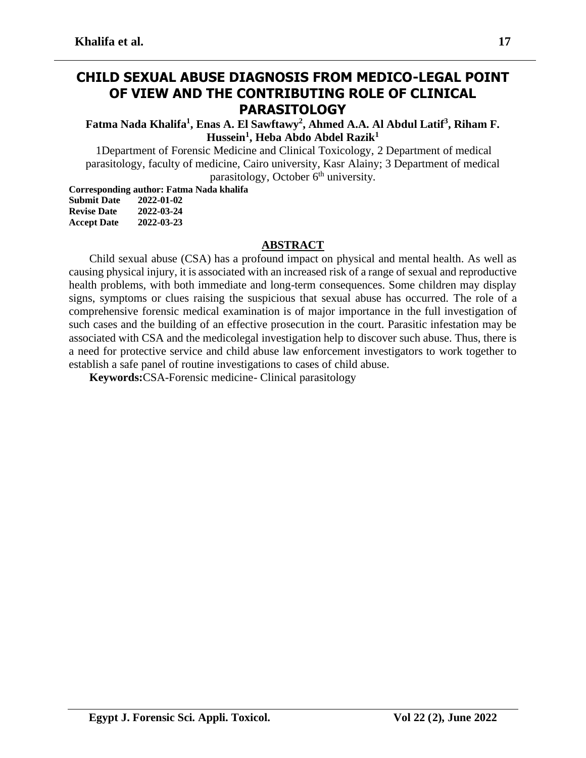# **CHILD SEXUAL ABUSE DIAGNOSIS FROM MEDICO-LEGAL POINT OF VIEW AND THE CONTRIBUTING ROLE OF CLINICAL PARASITOLOGY**

**Fatma Nada Khalifa<sup>1</sup> , Enas A. El Sawftawy<sup>2</sup> , Ahmed A.A. Al Abdul Latif<sup>3</sup> , Riham F. Hussein<sup>1</sup> , Heba Abdo Abdel Razik<sup>1</sup>**

1Department of Forensic Medicine and Clinical Toxicology, 2 Department of medical parasitology, faculty of medicine, Cairo university, Kasr Alainy; 3 Department of medical parasitology, October  $6<sup>th</sup>$  university.

**Corresponding author: Fatma Nada khalifa Submit Date 2022-01-02** 

| эшлин гле          | 2022-01-02 |
|--------------------|------------|
| <b>Revise Date</b> | 2022-03-24 |
| <b>Accept Date</b> | 2022-03-23 |

#### **ABSTRACT**

Child sexual abuse (CSA) has a profound impact on physical and mental health. As well as causing physical injury, it is associated with an increased risk of a range of sexual and reproductive health problems, with both immediate and long-term consequences. Some children may display signs, symptoms or clues raising the suspicious that sexual abuse has occurred. The role of a comprehensive forensic medical examination is of major importance in the full investigation of such cases and the building of an effective prosecution in the court. Parasitic infestation may be associated with CSA and the medicolegal investigation help to discover such abuse. Thus, there is a need for protective service and child abuse law enforcement investigators to work together to establish a safe panel of routine investigations to cases of child abuse.

**Keywords:**CSA-Forensic medicine- Clinical parasitology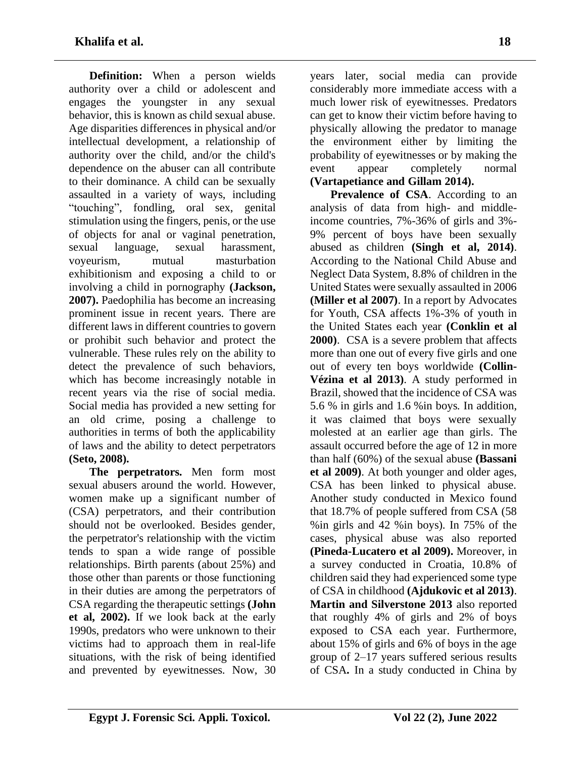**Definition:** When a person wields authority over a child or adolescent and engages the youngster in any sexual behavior, this is known as child sexual abuse. Age disparities differences in physical and/or intellectual development, a relationship of authority over the child, and/or the child's dependence on the abuser can all contribute to their dominance. A child can be sexually assaulted in a variety of ways, including "touching", fondling, oral sex, genital stimulation using the fingers, penis, or the use of objects for anal or vaginal penetration, sexual language, sexual harassment, voyeurism, mutual masturbation exhibitionism and exposing a child to or involving a child in pornography **(Jackson, 2007).** Paedophilia has become an increasing prominent issue in recent years. There are different laws in different countries to govern or prohibit such behavior and protect the vulnerable. These rules rely on the ability to detect the prevalence of such behaviors, which has become increasingly notable in recent years via the rise of social media. Social media has provided a new setting for an old crime, posing a challenge to authorities in terms of both the applicability of laws and the ability to detect perpetrators **(Seto, 2008).**

**The perpetrators.** Men form most sexual abusers around the world. However, women make up a significant number of (CSA) perpetrators, and their contribution should not be overlooked. Besides gender, the perpetrator's relationship with the victim tends to span a wide range of possible relationships. Birth parents (about 25%) and those other than parents or those functioning in their duties are among the perpetrators of CSA regarding the therapeutic settings **(John et al, 2002).** If we look back at the early 1990s, predators who were unknown to their victims had to approach them in real-life situations, with the risk of being identified and prevented by eyewitnesses. Now, 30

years later, social media can provide considerably more immediate access with a much lower risk of eyewitnesses. Predators can get to know their victim before having to physically allowing the predator to manage the environment either by limiting the probability of eyewitnesses or by making the event appear completely normal **(Vartapetiance and Gillam 2014).**

**Prevalence of CSA.** According to an analysis of data from high- and middleincome countries, 7%-36% of girls and 3%- 9% percent of boys have been sexually abused as children **(Singh et al, 2014)**. According to the National Child Abuse and Neglect Data System, 8.8% of children in the United States were sexually assaulted in 2006 **(Miller et al 2007)**. In a report by Advocates for Youth, CSA affects 1%-3% of youth in the United States each year **(Conklin et al 2000)**. CSA is a severe problem that affects more than one out of every five girls and one out of every ten boys worldwide **(Collin-Vézina et al 2013)**. A study performed in Brazil, showed that the incidence of CSA was 5.6 % in girls and 1.6 %in boys. In addition, it was claimed that boys were sexually molested at an earlier age than girls. The assault occurred before the age of 12 in more than half (60%) of the sexual abuse **(Bassani et al 2009)**. At both younger and older ages, CSA has been linked to physical abuse. Another study conducted in Mexico found that 18.7% of people suffered from CSA (58 %in girls and 42 %in boys). In 75% of the cases, physical abuse was also reported **(Pineda-Lucatero et al 2009).** Moreover, in a survey conducted in Croatia, 10.8% of children said they had experienced some type of CSA in childhood **(Ajdukovic et al 2013)**. **Martin and Silverstone 2013** also reported that roughly 4% of girls and 2% of boys exposed to CSA each year. Furthermore, about 15% of girls and 6% of boys in the age group of 2–17 years suffered serious results of CSA **.** In a study conducted in China by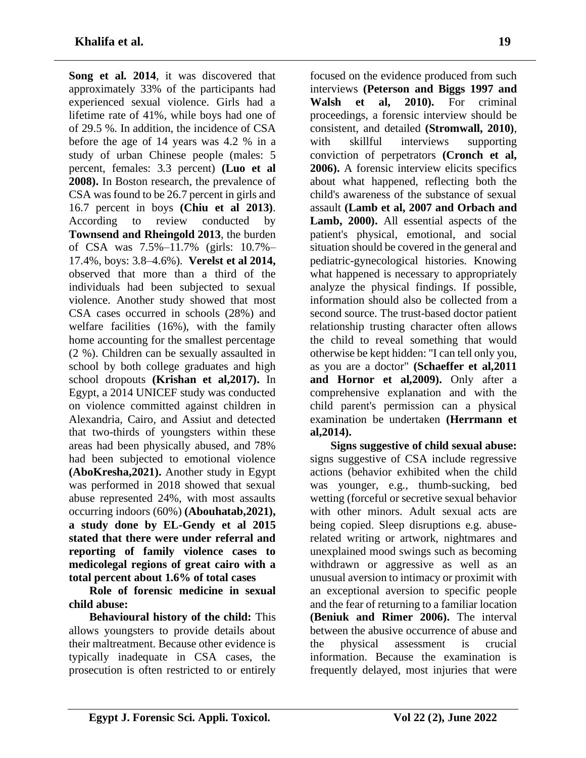**Song et al. 2014**, it was discovered that approximately 33% of the participants had experienced sexual violence. Girls had a lifetime rate of 41%, while boys had one of of 29.5 %. In addition, the incidence of CSA before the age of 14 years was 4.2 % in a study of urban Chinese people (males: 5 percent, females: 3.3 percent) **(Luo et al 2008).** In Boston research, the prevalence of CSA was found to be 26.7 percent in girls and 16.7 percent in boys **(Chiu et al 2013)**. According to review conducted by **Townsend and Rheingold 2013**, the burden of CSA was 7.5%–11.7% (girls: 10.7%– 17.4%, boys: 3.8–4.6%). **Verelst et al 2014,** observed that more than a third of the individuals had been subjected to sexual violence. Another study showed that most CSA cases occurred in schools (28%) and welfare facilities (16%), with the family home accounting for the smallest percentage (2 %). Children can be sexually assaulted in school by both college graduates and high school dropouts **(Krishan et al,2017).** In Egypt, a 2014 UNICEF study was conducted on violence committed against children in Alexandria, Cairo, and Assiut and detected that two-thirds of youngsters within these areas had been physically abused, and 78% had been subjected to emotional violence **(AboKresha,2021).** Another study in Egypt was performed in 2018 showed that sexual abuse represented 24%, with most assaults occurring indoors (60%) **(Abouhatab,2021), a study done by EL-Gendy et al 2015 stated that there were under referral and reporting of family violence cases to medicolegal regions of great cairo with a total percent about 1.6% of total cases** 

**Role of forensic medicine in sexual child abuse:**

**Behavioural history of the child:** This allows youngsters to provide details about their maltreatment. Because other evidence is typically inadequate in CSA cases, the prosecution is often restricted to or entirely

focused on the evidence produced from such interviews **(Peterson and Biggs 1997 and Walsh et al, 2010).** For criminal proceedings, a forensic interview should be consistent, and detailed **(Stromwall, 2010)**, with skillful interviews supporting conviction of perpetrators **(Cronch et al, 2006).** A forensic interview elicits specifics about what happened, reflecting both the child's awareness of the substance of sexual assault **(Lamb et al, 2007 and Orbach and Lamb, 2000).** All essential aspects of the patient's physical, emotional, and social situation should be covered in the general and pediatric-gynecological histories. Knowing what happened is necessary to appropriately analyze the physical findings. If possible, information should also be collected from a second source. The trust-based doctor patient relationship trusting character often allows the child to reveal something that would otherwise be kept hidden: "I can tell only you, as you are a doctor" **(Schaeffer et al,2011 and Hornor et al,2009).** Only after a comprehensive explanation and with the child parent's permission can a physical examination be undertaken **(Herrmann et al,2014) .**

**Signs suggestive of child sexual abuse:** signs suggestive of CSA include regressive actions (behavior exhibited when the child was younger, e.g., thumb-sucking, bed wetting (forceful or secretive sexual behavior with other minors. Adult sexual acts are being copied. Sleep disruptions e.g. abuserelated writing or artwork, nightmares and unexplained mood swings such as becoming withdrawn or aggressive as well as an unusual aversion to intimacy or proximit with an exceptional aversion to specific people and the fear of returning to a familiar location **(Beniuk and Rimer 2006).** The interval between the abusive occurrence of abuse and the physical assessment is crucial information. Because the examination is frequently delayed, most injuries that were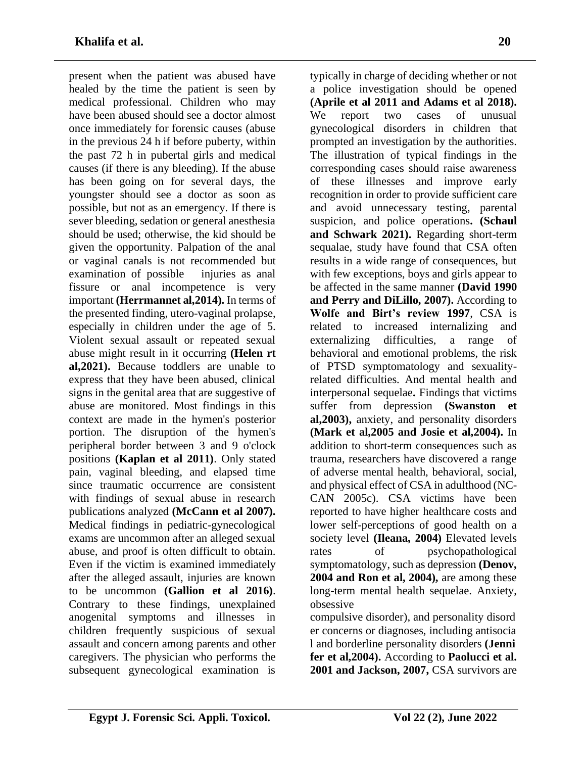present when the patient was abused have healed by the time the patient is seen by medical professional. Children who may have been abused should see a doctor almost once immediately for forensic causes (abuse in the previous 24 h if before puberty, within the past 72 h in pubertal girls and medical causes (if there is any bleeding). If the abuse has been going on for several days, the youngster should see a doctor as soon as possible, but not as an emergency . If there is sever bleeding, sedation or general anesthesia should be used; otherwise, the kid should be given the opportunity. Palpation of the anal or vaginal canals is not recommended but examination of possible injuries as anal fissure or anal incompetence is very important **(Herrmannet al,2014).** In terms of the presented finding, utero-vaginal prolapse, especially in children under the age of 5. Violent sexual assault or repeated sexual abuse might result in it occurring **(Helen rt al,2021).** Because toddlers are unable to express that they have been abused, clinical signs in the genital area that are suggestive of abuse are monitored. Most findings in this context are made in the hymen's posterior portion. The disruption of the hymen's peripheral border between 3 and 9 o'clock positions **(Kaplan et al 2011)**. Only stated pain, vaginal bleeding, and elapsed time since traumatic occurrence are consistent with findings of sexual abuse in research publications analyzed **(McCann et al 2007).** Medical findings in pediatric-gynecological exams are uncommon after an alleged sexual abuse, and proof is often difficult to obtain. Even if the victim is examined immediately after the alleged assault, injuries are known to be uncommon **(Gallion et al 2016)**. Contrary to these findings, unexplained anogenital symptoms and illnesses in children frequently suspicious of sexual assault and concern among parents and other caregivers. The physician who performs the subsequent gynecological examination is

typically in charge of deciding whether or not a police investigation should be opened **(Aprile et al 2011 and Adams et al 2018).** We report two cases of unusual gynecological disorders in children that prompted an investigation by the authorities. The illustration of typical findings in the corresponding cases should raise awareness of these illnesses and improve early recognition in order to provide sufficient care and avoid unnecessary testing, parental suspicion, and police operations**. (Schaul and Schwark 2021).** Regarding short-term sequalae, study have found that CSA often results in a wide range of consequences, but with few exceptions, boys and girls appear to be affected in the same manner **(David 1990 and Perry and DiLillo, 2007).** According to **Wolfe and Birt's review 1997**, CSA is related to increased internalizing and externalizing difficulties, a range of behavioral and emotional problems, the risk of PTSD symptomatology and sexualityrelated difficulties. And mental health and interpersonal sequelae**.** Findings that victims suffer from depression **(Swanston et al,2003),** anxiety, and personality disorders **(Mark et al,2005 and Josie et al,2004).** In addition to short-term consequences such as trauma, researchers have discovered a range of adverse mental health, behavioral, social, and physical effect of CSA in adulthood (NC-CAN 2005c). CSA victims have been reported to have higher healthcare costs and lower self-perceptions of good health on a society level **(Ileana, 2004)** Elevated levels rates of psychopathological symptomatology, such as depression **(Denov, 2004 and Ron et al, 2004),** are among these long-term mental health sequelae. Anxiety, obsessive

compulsive disorder), and personality disord er concerns or diagnoses, including antisocia l and borderline personality disorders **(Jenni fer et al,2004).** According to **Paolucci et al. 2001 and Jackson, 2007,** CSA survivors are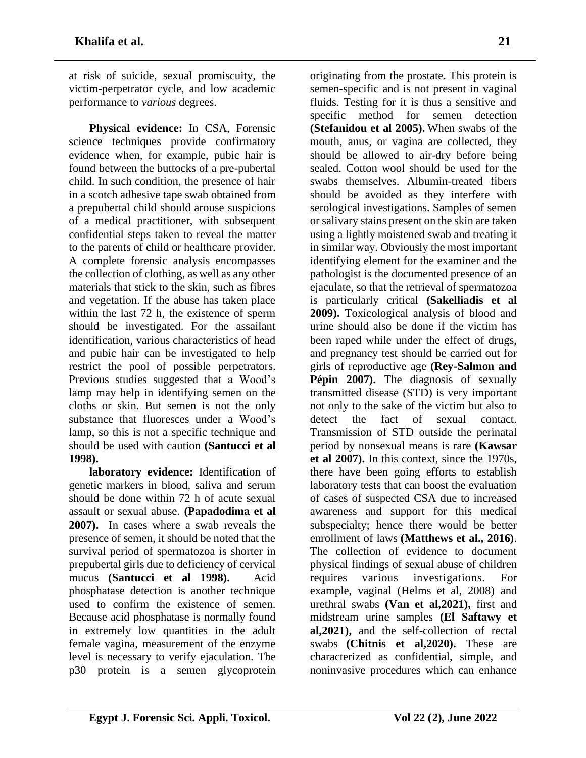at risk of suicide, sexual promiscuity, the victim-perpetrator cycle, and low academic performance to *various* degrees.

**Physical evidence:** In CSA, Forensic science techniques provide confirmatory evidence when, for example, pubic hair is found between the buttocks of a pre-pubertal child. In such condition, the presence of hair in a scotch adhesive tape swab obtained from a prepubertal child should arouse suspicions of a medical practitioner, with subsequent confidential steps taken to reveal the matter to the parents of child or healthcare provider. A complete forensic analysis encompasses the collection of clothing, as well as any other materials that stick to the skin, such as fibres and vegetation. If the abuse has taken place within the last 72 h, the existence of sperm should be investigated. For the assailant identification, various characteristics of head and pubic hair can be investigated to help restrict the pool of possible perpetrators. Previous studies suggested that a Wood's lamp may help in identifying semen on the cloths or skin. But semen is not the only substance that fluoresces under a Wood's lamp, so this is not a specific technique and should be used with caution **(Santucci et al 1998).** 

**laboratory evidence:** Identification of genetic markers in blood, saliva and serum should be done within 72 h of acute sexual assault or sexual abuse. **(Papadodima et al 2007).** In cases where a swab reveals the presence of semen, it should be noted that the survival period of spermatozoa is shorter in prepubertal girls due to deficiency of cervical mucus **(Santucci et al 1998).** Acid phosphatase detection is another technique used to confirm the existence of semen. Because acid phosphatase is normally found in extremely low quantities in the adult female vagina, measurement of the enzyme level is necessary to verify ejaculation. The p30 protein is a semen glycoprotein

originating from the prostate. This protein is semen-specific and is not present in vaginal fluids. Testing for it is thus a sensitive and specific method for semen detection **(Stefanidou et al 2005).** When swabs of the mouth, anus, or vagina are collected, they should be allowed to air-dry before being sealed. Cotton wool should be used for the swabs themselves. Albumin-treated fibers should be avoided as they interfere with serological investigations. Samples of semen or salivary stains present on the skin are taken using a lightly moistened swab and treating it in similar way. Obviously the most important identifying element for the examiner and the pathologist is the documented presence of an ejaculate, so that the retrieval of spermatozoa is particularly critical **(Sakelliadis et al 2009).** Toxicological analysis of blood and urine should also be done if the victim has been raped while under the effect of drugs, and pregnancy test should be carried out for girls of reproductive age **(Rey-Salmon and**  Pépin 2007). The diagnosis of sexually transmitted disease (STD) is very important not only to the sake of the victim but also to detect the fact of sexual contact. Transmission of STD outside the perinatal period by nonsexual means is rare **(Kawsar et al 2007).** In this context, since the 1970s, there have been going efforts to establish laboratory tests that can boost the evaluation of cases of suspected CSA due to increased awareness and support for this medical subspecialty; hence there would be better enrollment of laws **(Matthews et al., 2016)**. The collection of evidence to document physical findings of sexual abuse of children requires various investigations. For example, vaginal (Helms et al, 2008) and urethral swabs **(Van et al,2021),** first and midstream urine samples **(El Saftawy et al,2021),** and the self-collection of rectal swabs **(Chitnis et al,2020).** These are characterized as confidential, simple, and noninvasive procedures which can enhance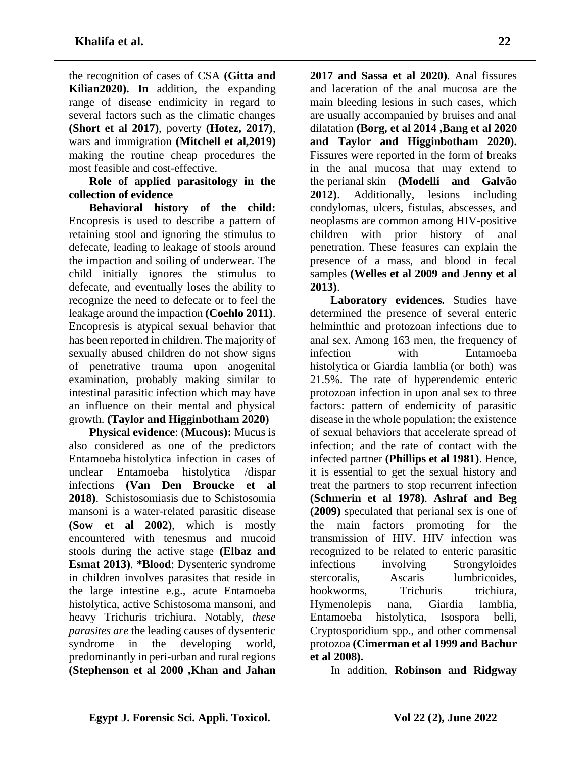the recognition of cases of CSA **(Gitta and Kilian2020). In** addition, the expanding range of disease endimicity in regard to several factors such as the climatic changes **(Short et al 2017)**, poverty **(Hotez, 2017)**, wars and immigration **(Mitchell et al,2019)** making the routine cheap procedures the most feasible and cost-effective.

**Role of applied parasitology in the collection of evidence**

**Behavioral history of the child:** Encopresis is used to describe a pattern of retaining stool and ignoring the stimulus to defecate, leading to leakage of stools around the impaction and soiling of underwear. The child initially ignores the stimulus to defecate, and eventually loses the ability to recognize the need to defecate or to feel the leakage around the impaction **(Coehlo 2011)**. Encopresis is atypical sexual behavior that has been reported in children. The majority of sexually abused children do not show signs of penetrative trauma upon anogenital examination, probably making similar to intestinal parasitic infection which may have an influence on their mental and physical growth. **(Taylor and Higginbotham 2020)**

**Physical evidence**: (**Mucous):** Mucus is also considered as one of the predictors Entamoeba histolytica infection in cases of unclear Entamoeba histolytica /dispar infections **(Van Den Broucke et al 2018)**. Schistosomiasis due to Schistosomia mansoni is a water-related parasitic disease **(Sow et al 2002)**, which is mostly encountered with tenesmus and mucoid stools during the active stage **(Elbaz and Esmat 2013)**. **\*Blood**: Dysenteric syndrome in children involves parasites that reside in the large intestine e.g., acute Entamoeba histolytica, active Schistosoma mansoni, and heavy Trichuris trichiura. Notably, *these parasites are* the leading causes of dysenteric syndrome in the developing world, predominantly in peri-urban and rural regions **(Stephenson et al 2000 ,Khan and Jahan** 

**2017 and Sassa et al 2020)**. Anal fissures and laceration of the anal mucosa are the main bleeding lesions in such cases, which are usually accompanied by bruises and anal dilatation **(Borg, et al 2014 ,Bang et al 2020 and Taylor and Higginbotham 2020).** Fissures were reported in the form of breaks in the anal mucosa that may extend to the perianal skin **(Modelli and Galvão 2012)**. Additionally, lesions including condylomas, ulcers, fistulas, abscesses, and neoplasms are common among HIV-positive children with prior history of anal penetration. These feasures can explain the presence of a mass, and blood in fecal samples **(Welles et al 2009 and Jenny et al 2013)**.

**Laboratory evidences.** Studies have determined the presence of several enteric helminthic and protozoan infections due to anal sex. Among 163 men, the frequency of infection with Entamoeba histolytica or Giardia lamblia (or both) was 21.5%. The rate of hyperendemic enteric protozoan infection in upon anal sex to three factors: pattern of endemicity of parasitic disease in the whole population; the existence of sexual behaviors that accelerate spread of infection; and the rate of contact with the infected partner **(Phillips et al 1981)**. Hence, it is essential to get the sexual history and treat the partners to stop recurrent infection **(Schmerin et al 1978)**. **Ashraf and Beg (2009)** speculated that perianal sex is one of the main factors promoting for the transmission of HIV. HIV infection was recognized to be related to enteric parasitic infections involving Strongyloides stercoralis, Ascaris lumbricoides, hookworms, Trichuris trichiura, Hymenolepis nana, Giardia lamblia, Entamoeba histolytica, Isospora belli, Cryptosporidium spp., and other commensal protozoa **(Cimerman et al 1999 and Bachur et al 2008).**

In addition, **Robinson and Ridgway**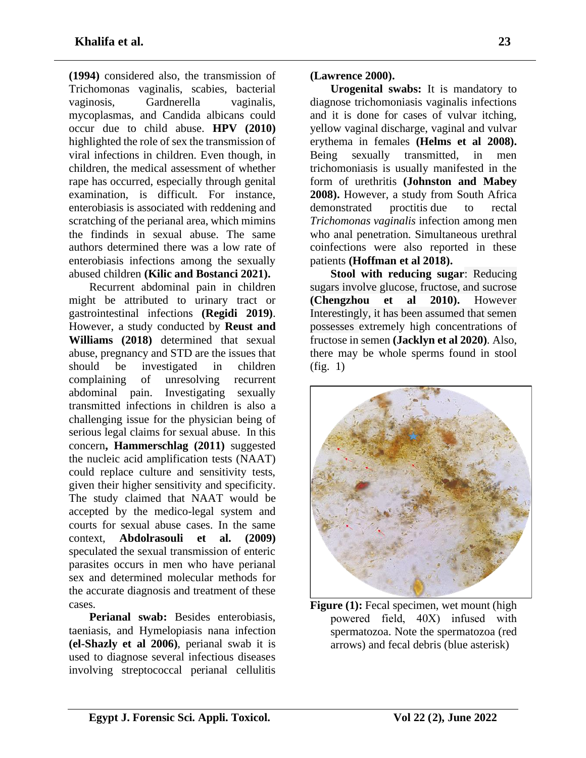**(1994)** considered also, the transmission of Trichomonas vaginalis, scabies, bacterial vaginosis, Gardnerella vaginalis, mycoplasmas, and Candida albicans could occur due to child abuse. **HPV (2010)** highlighted the role of sex the transmission of viral infections in children. Even though, in children, the medical assessment of whether rape has occurred, especially through genital examination, is difficult. For instance, enterobiasis is associated with reddening and scratching of the perianal area, which mimins the findinds in sexual abuse. The same authors determined there was a low rate of enterobiasis infections among the sexually abused children **(Kilic and Bostanci 2021).**

Recurrent abdominal pain in children might be attributed to urinary tract or gastrointestinal infections **(Regidi 2019)**. However, a study conducted by **Reust and Williams (2018)** determined that sexual abuse, pregnancy and STD are the issues that should be investigated in children complaining of unresolving recurrent abdominal pain. Investigating sexually transmitted infections in children is also a challenging issue for the physician being of serious legal claims for sexual abuse. In this concern**, Hammerschlag (2011)** suggested the nucleic acid amplification tests (NAAT) could replace culture and sensitivity tests, given their higher sensitivity and specificity. The study claimed that NAAT would be accepted by the medico-legal system and courts for sexual abuse cases. In the same context, **Abdolrasouli et al. (2009)** speculated the sexual transmission of enteric parasites occurs in men who have perianal sex and determined molecular methods for the accurate diagnosis and treatment of these cases.

**Perianal swab:** Besides enterobiasis, taeniasis, and Hymelopiasis nana infection **(el-Shazly et al 2006)**, perianal swab it is used to diagnose several infectious diseases involving streptococcal perianal cellulitis

**(Lawrence 2000).**

**Urogenital swabs:** It is mandatory to diagnose trichomoniasis vaginalis infections and it is done for cases of vulvar itching, yellow vaginal discharge, vaginal and vulvar erythema in females **(Helms et al 2008).**  Being sexually transmitted, in men trichomoniasis is usually manifested in the form of urethritis **(Johnston and Mabey 2008).** However, a study from South Africa demonstrated proctitis due to rectal *Trichomonas vaginalis* infection among men who anal penetration. Simultaneous urethral coinfections were also reported in these patients **(Hoffman et al 2018).**

**Stool with reducing sugar**: Reducing sugars involve glucose, fructose, and sucrose **(Chengzhou et al 2010).** However Interestingly, it has been assumed that semen possesses extremely high concentrations of fructose in semen **(Jacklyn et al 2020)**. Also, there may be whole sperms found in stool (fig. 1)



**Figure (1):** Fecal specimen, wet mount (high powered field, 40Χ) infused with spermatozoa. Note the spermatozoa (red arrows) and fecal debris (blue asterisk)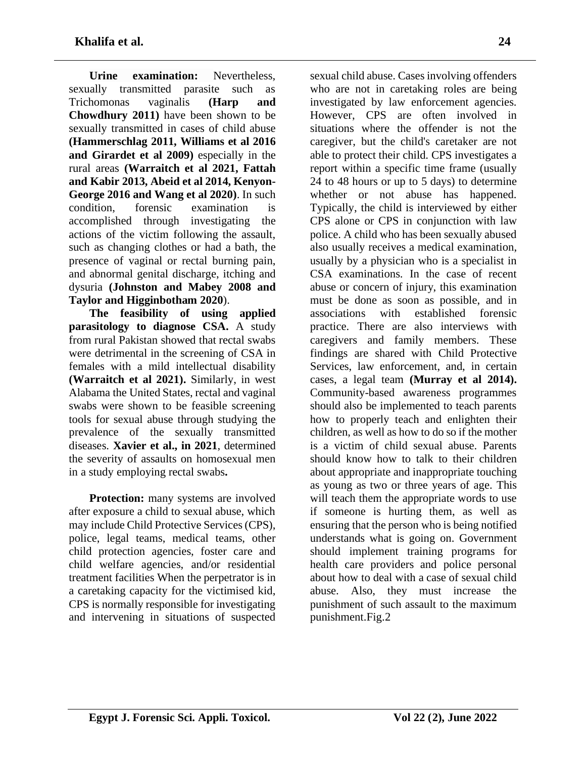**Urine examination:** Nevertheless, sexually transmitted parasite such as Trichomonas vaginalis **(Harp and Chowdhury 2011)** have been shown to be sexually transmitted in cases of child abuse **(Hammerschlag 2011, Williams et al 2016 and Girardet et al 2009)** especially in the rural areas **(Warraitch et al 2021, Fattah and Kabir 2013, Abeid et al 2014, Kenyon-George 2016 and Wang et al 2020)**. In such condition, forensic examination is accomplished through investigating the actions of the victim following the assault, such as changing clothes or had a bath, the presence of vaginal or rectal burning pain, and abnormal genital discharge, itching and dysuria **(Johnston and Mabey 2008 and Taylor and Higginbotham 2020**).

**The feasibility of using applied parasitology to diagnose CSA.** A study from rural Pakistan showed that rectal swabs were detrimental in the screening of CSA in females with a mild intellectual disability **(Warraitch et al 2021).** Similarly, in west Alabama the United States, rectal and vaginal swabs were shown to be feasible screening tools for sexual abuse through studying the prevalence of the sexually transmitted diseases. **Xavier et al., in 2021**, determined the severity of assaults on homosexual men in a study employing rectal swabs**.**

**Protection:** many systems are involved after exposure a child to sexual abuse, which may include Child Protective Services (CPS), police, legal teams, medical teams, other child protection agencies, foster care and child welfare agencies, and/or residential treatment facilities When the perpetrator is in a caretaking capacity for the victimised kid, CPS is normally responsible for investigating and intervening in situations of suspected

sexual child abuse. Cases involving offenders who are not in caretaking roles are being investigated by law enforcement agencies. However, CPS are often involved in situations where the offender is not the caregiver, but the child's caretaker are not able to protect their child. CPS investigates a report within a specific time frame (usually 24 to 48 hours or up to 5 days) to determine whether or not abuse has happened. Typically, the child is interviewed by either CPS alone or CPS in conjunction with law police. A child who has been sexually abused also usually receives a medical examination, usually by a physician who is a specialist in CSA examinations. In the case of recent abuse or concern of injury, this examination must be done as soon as possible, and in associations with established forensic practice. There are also interviews with caregivers and family members. These findings are shared with Child Protective Services, law enforcement, and, in certain cases, a legal team **(Murray et al 2014).** Community-based awareness programmes should also be implemented to teach parents how to properly teach and enlighten their children, as well as how to do so if the mother is a victim of child sexual abuse. Parents should know how to talk to their children about appropriate and inappropriate touching as young as two or three years of age. This will teach them the appropriate words to use if someone is hurting them, as well as ensuring that the person who is being notified understands what is going on. Government should implement training programs for health care providers and police personal about how to deal with a case of sexual child abuse. Also, they must increase the punishment of such assault to the maximum punishment.Fig.2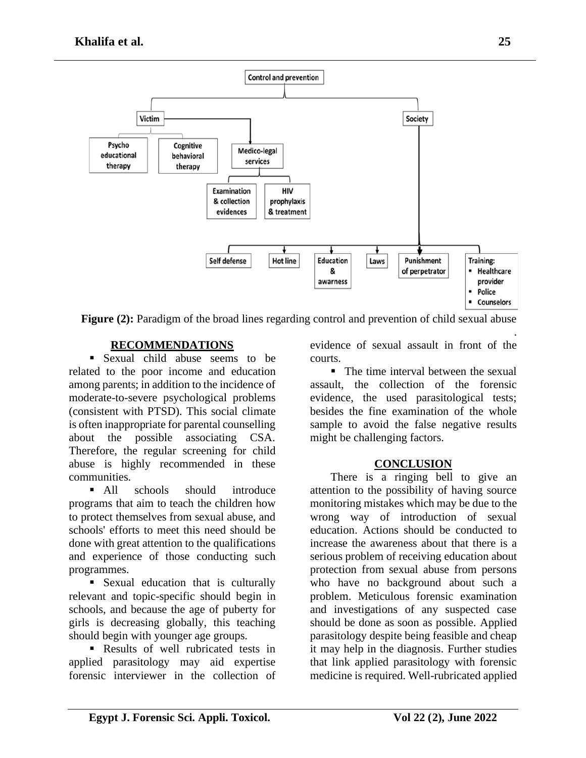

**Figure** (2): Paradigm of the broad lines regarding control and prevention of child sexual abuse

# **RECOMMENDATIONS**

**Example 1** Sexual child abuse seems to be related to the poor income and education among parents; in addition to the incidence of moderate-to-severe psychological problems (consistent with PTSD). This social climate is often inappropriate for parental counselling about the possible associating CSA. Therefore, the regular screening for child abuse is highly recommended in these communities.

■ All schools should introduce programs that aim to teach the children how to protect themselves from sexual abuse, and schools' efforts to meet this need should be done with great attention to the qualifications and experience of those conducting such programmes.

**•** Sexual education that is culturally relevant and topic-specific should begin in schools, and because the age of puberty for girls is decreasing globally, this teaching should begin with younger age groups.

■ Results of well rubricated tests in applied parasitology may aid expertise forensic interviewer in the collection of

. evidence of sexual assault in front of the courts.

■ The time interval between the sexual assault, the collection of the forensic evidence, the used parasitological tests; besides the fine examination of the whole sample to avoid the false negative results might be challenging factors.

# **CONCLUSION**

There is a ringing bell to give an attention to the possibility of having source monitoring mistakes which may be due to the wrong way of introduction of sexual education. Actions should be conducted to increase the awareness about that there is a serious problem of receiving education about protection from sexual abuse from persons who have no background about such a problem. Meticulous forensic examination and investigations of any suspected case should be done as soon as possible. Applied parasitology despite being feasible and cheap it may help in the diagnosis. Further studies that link applied parasitology with forensic medicine is required. Well-rubricated applied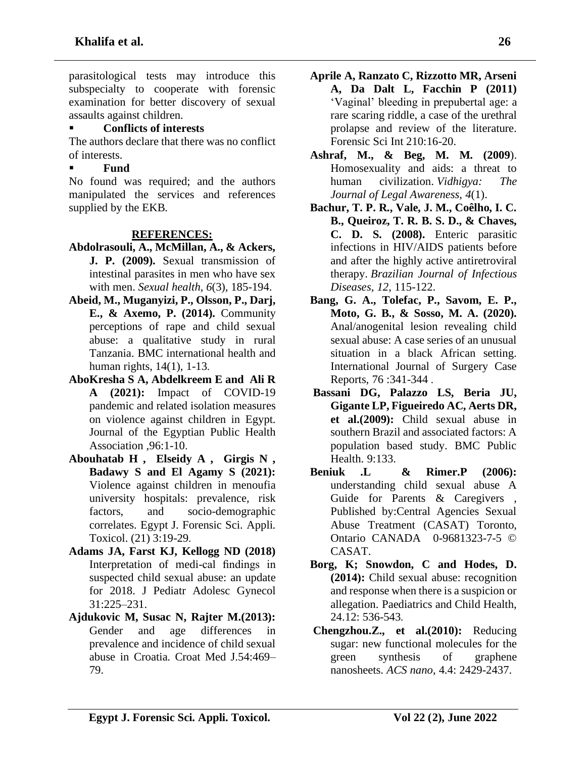parasitological tests may introduce this subspecialty to cooperate with forensic examination for better discovery of sexual assaults against children.

### ▪ **Conflicts of interests**

The authors declare that there was no conflict of interests.

#### ▪ **Fund**

No found was required; and the authors manipulated the services and references supplied by the EKB.

#### **REFERENCES:**

- **Abdolrasouli, A., McMillan, A., & Ackers, J. P. (2009).** Sexual transmission of intestinal parasites in men who have sex with men. *Sexual health*, *6*(3), 185-194.
- **Abeid, M., Muganyizi, P., Olsson, P., Darj, E., & Axemo, P. (2014).** Community perceptions of rape and child sexual abuse: a qualitative study in rural Tanzania. BMC international health and human rights, 14(1), 1-13 .
- **AboKresha S A, Abdelkreem E and Ali R A (2021):** Impact of COVID-19 pandemic and related isolation measures on violence against children in Egypt. Journal of the Egyptian Public Health Association ,96:1-10.
- **Abouhatab H , Elseidy A , Girgis N , Badawy S and El Agamy S (2021):** Violence against children in menoufia university hospitals: prevalence, risk factors, and socio-demographic correlates. Egypt J. Forensic Sci. Appli. Toxicol. (21) 3:19-29 .
- **Adams JA, Farst KJ, Kellogg ND (2018)** Interpretation of medi-cal findings in suspected child sexual abuse: an update for 2018. J Pediatr Adolesc Gynecol 31:225–231.
- **Ajdukovic M, Susac N, Rajter M.(2013):** Gender and age differences in prevalence and incidence of child sexual abuse in Croatia. Croat Med J.54:469– 79.
- **Aprile A, Ranzato C, Rizzotto MR, Arseni A, Da Dalt L, Facchin P (2011)** 'Vaginal' bleeding in prepubertal age: a rare scaring riddle, a case of the urethral prolapse and review of the literature. Forensic Sci Int 210:16-20.
- **Ashraf, M., & Beg, M. M. (2009**). Homosexuality and aids: a threat to human civilization. *Vidhigya: The Journal of Legal Awareness*, *4*(1).
- **Bachur, T. P. R., Vale, J. M., Coêlho, I. C. B., Queiroz, T. R. B. S. D., & Chaves, C. D. S. (2008).** Enteric parasitic infections in HIV/AIDS patients before and after the highly active antiretroviral therapy. *Brazilian Journal of Infectious Diseases*, *12*, 115-122.
- **Bang, G. A., Tolefac, P., Savom, E. P., Moto, G. B., & Sosso, M. A. (2020).** Anal/anogenital lesion revealing child sexual abuse: A case series of an unusual situation in a black African setting. International Journal of Surgery Case Reports, 76 :341-344 .
- **Bassani DG, Palazzo LS, Beria JU, Gigante LP, Figueiredo AC, Aerts DR, et al.(2009):** Child sexual abuse in southern Brazil and associated factors: A population based study. BMC Public Health. 9:133.
- **Beniuk .L & Rimer.P (2006):** understanding child sexual abuse A Guide for Parents & Caregivers , Published by:Central Agencies Sexual Abuse Treatment (CASAT) Toronto, Ontario CANADA 0-9681323-7-5 © CASAT.
- **Borg, K; Snowdon, C and Hodes, D. (2014):** Child sexual abuse: recognition and response when there is a suspicion or allegation. Paediatrics and Child Health, 24.12: 536-543 .
- **Chengzhou.Z., et al.(2010):** Reducing sugar: new functional molecules for the green synthesis of graphene nanosheets. *ACS nano*, 4.4: 2429-2437.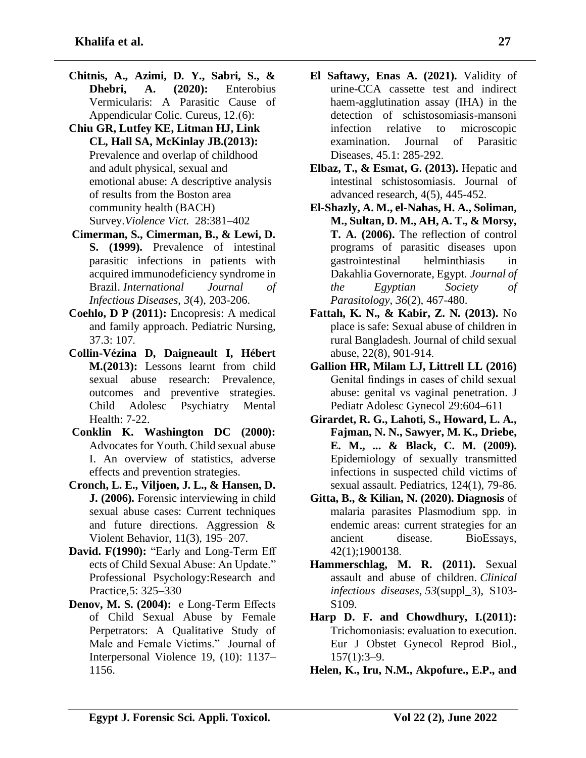- **Chitnis, A., Azimi, D. Y., Sabri, S., & Dhebri, A. (2020):** Enterobius Vermicularis: A Parasitic Cause of Appendicular Colic. Cureus, 12.(6):
- **Chiu GR, Lutfey KE, Litman HJ, Link CL, Hall SA, McKinlay JB.(2013):** Prevalence and overlap of childhood and adult physical, sexual and emotional abuse: A descriptive analysis of results from the Boston area community health (BACH) Survey.*Violence Vict.* 28:381–402
- **Cimerman, S., Cimerman, B., & Lewi, D. S. (1999).** Prevalence of intestinal parasitic infections in patients with acquired immunodeficiency syndrome in Brazil. *International Journal of Infectious Diseases*, *3*(4), 203-206.
- **Coehlo, D P (2011):** Encopresis: A medical and family approach. Pediatric Nursing, 37.3: 107.
- **Collin-Vézina D, Daigneault I, Hébert M.(2013):** Lessons learnt from child sexual abuse research: Prevalence, outcomes and preventive strategies. Child Adolesc Psychiatry Mental Health: 7-22.
- **Conklin K. Washington DC (2000):** Advocates for Youth. Child sexual abuse I. An overview of statistics, adverse effects and prevention strategies.
- **Cronch, L. E., Viljoen, J. L., & Hansen, D. J. (2006).** Forensic interviewing in child sexual abuse cases: Current techniques and future directions. Aggression & Violent Behavior, 11(3), 195–207.
- **David. F(1990):** "Early and Long-Term Eff ects of Child Sexual Abuse: An Update." Professional Psychology:Research and Practice,5: 325–330
- **Denov, M. S. (2004):** e Long-Term Effects of Child Sexual Abuse by Female Perpetrators: A Qualitative Study of Male and Female Victims." Journal of Interpersonal Violence 19, (10): 1137– 1156.
- **El Saftawy, Enas A. (2021).** Validity of urine-CCA cassette test and indirect haem-agglutination assay (IHA) in the detection of schistosomiasis-mansoni infection relative to microscopic examination. Journal of Parasitic Diseases, 45.1: 285-292.
- **Elbaz, T., & Esmat, G. (2013).** Hepatic and intestinal schistosomiasis. Journal of advanced research, 4(5), 445-452 .
- **El-Shazly, A. M., el-Nahas, H. A., Soliman, M., Sultan, D. M., AH, A. T., & Morsy, T. A. (2006).** The reflection of control programs of parasitic diseases upon gastrointestinal helminthiasis in Dakahlia Governorate, Egypt. *Journal of the Egyptian Society of Parasitology*, *36*(2), 467-480.
- **Fattah, K. N., & Kabir, Z. N. (2013).** No place is safe: Sexual abuse of children in rural Bangladesh. Journal of child sexual abuse, 22(8), 901-914 .
- **Gallion HR, Milam LJ, Littrell LL (2016)** Genital findings in cases of child sexual abuse: genital vs vaginal penetration. J Pediatr Adolesc Gynecol 29:604–611
- **Girardet, R. G., Lahoti, S., Howard, L. A., Fajman, N. N., Sawyer, M. K., Driebe, E. M., ... & Black, C. M. (2009).**  Epidemiology of sexually transmitted infections in suspected child victims of sexual assault. Pediatrics, 124(1), 79-86.
- **Gitta, B., & Kilian, N. (2020). Diagnosis** of malaria parasites Plasmodium spp. in endemic areas: current strategies for an ancient disease. BioEssays, 42(1);1900138 .
- **Hammerschlag, M. R. (2011).** Sexual assault and abuse of children. *Clinical infectious diseases*, *53*(suppl\_3), S103- S<sub>109</sub>.
- **Harp D. F. and Chowdhury, I.(2011):** Trichomoniasis: evaluation to execution. Eur J Obstet Gynecol Reprod Biol.,  $157(1):3-9.$
- **Helen, K., Iru, N.M., Akpofure., E.P., and**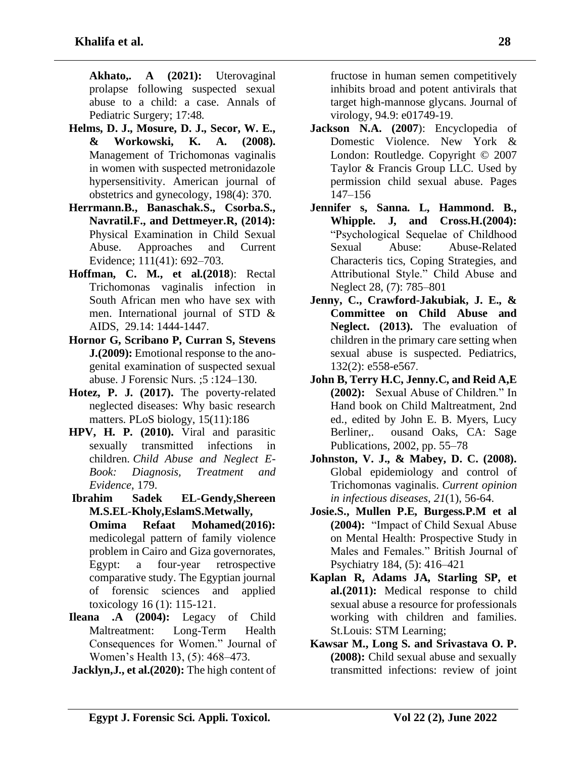**Akhato,. A (2021):** Uterovaginal prolapse following suspected sexual abuse to a child: a case. Annals of Pediatric Surgery; 17:48.

- **Helms, D. J., Mosure, D. J., Secor, W. E., & Workowski, K. A. (2008).**  Management of Trichomonas vaginalis in women with suspected metronidazole hypersensitivity. American journal of obstetrics and gynecology, 198(4): 370.
- **Herrmann.B., Banaschak.S., Csorba.S., Navratil.F., and Dettmeyer.R, (2014):** Physical Examination in Child Sexual Abuse. Approaches and Current Evidence; 111(41): 692–703.
- **Hoffman, C. M., et al.(2018**): Rectal Trichomonas vaginalis infection in South African men who have sex with men. International journal of STD & AIDS, 29.14: 1444-1447 .
- **Hornor G, Scribano P, Curran S, Stevens J.(2009):** Emotional response to the anogenital examination of suspected sexual abuse. J Forensic Nurs. ;5 :124–130.
- **Hotez, P. J. (2017).** The poverty-related neglected diseases: Why basic research matters. PLoS biology, 15(11):186
- **HPV, H. P. (2010).** Viral and parasitic sexually transmitted infections in children. *Child Abuse and Neglect E-Book: Diagnosis, Treatment and Evidence*, 179.
- **Ibrahim Sadek EL-Gendy,Shereen M.S.EL-Kholy,EslamS.Metwally, Omima Refaat Mohamed(2016):** medicolegal pattern of family violence problem in Cairo and Giza governorates, Egypt: a four-year retrospective comparative study. The Egyptian journal of forensic sciences and applied toxicology 16 (1): 115-121.
- **Ileana .A (2004):** Legacy of Child Maltreatment: Long-Term Health Consequences for Women." Journal of Women's Health 13, (5): 468–473.
- **Jacklyn,J., et al.(2020):** The high content of

fructose in human semen competitively inhibits broad and potent antivirals that target high-mannose glycans. Journal of virology, 94.9: e01749-19.

- **Jackson N.A. (2007**): Encyclopedia of Domestic Violence. New York & London: Routledge. Copyright © 2007 Taylor & Francis Group LLC. Used by permission child sexual abuse. Pages 147–156
- **Jennifer s, Sanna. L, Hammond. B., Whipple. J, and Cross.H.(2004):**  "Psychological Sequelae of Childhood Sexual Abuse: Abuse-Related Characteris tics, Coping Strategies, and Attributional Style." Child Abuse and Neglect 28, (7): 785–801
- **Jenny, C., Crawford-Jakubiak, J. E., & Committee on Child Abuse and Neglect. (2013).** The evaluation of children in the primary care setting when sexual abuse is suspected. Pediatrics, 132(2): e558-e567 .
- **John B, Terry H.C, Jenny.C, and Reid A,E (2002):** Sexual Abuse of Children." In Hand book on Child Maltreatment, 2nd ed., edited by John E. B. Myers, Lucy Berliner,. ousand Oaks, CA: Sage Publications, 2002, pp. 55–78
- **Johnston, V. J., & Mabey, D. C. (2008).** Global epidemiology and control of Trichomonas vaginalis. *Current opinion in infectious diseases*, *21*(1), 56-64.
- **Josie.S., Mullen P.E, Burgess.P.M et al (2004):** "Impact of Child Sexual Abuse on Mental Health: Prospective Study in Males and Females." British Journal of Psychiatry 184, (5): 416–421
- **Kaplan R, Adams JA, Starling SP, et al.(2011):** Medical response to child sexual abuse a resource for professionals working with children and families. St.Louis: STM Learning;
- **Kawsar M., Long S. and Srivastava O. P. (2008):** Child sexual abuse and sexually transmitted infections: review of joint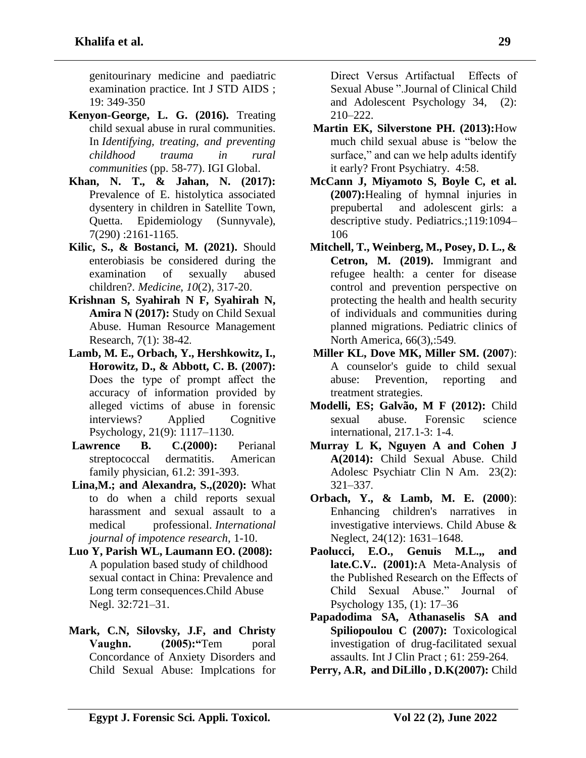genitourinary medicine and paediatric examination practice. Int J STD AIDS ; 19: 349-350

- **Kenyon-George, L. G. (2016).** Treating child sexual abuse in rural communities. In *Identifying, treating, and preventing childhood trauma in rural communities* (pp. 58-77). IGI Global.
- **Khan, N. T., & Jahan, N. (2017):** Prevalence of E. histolytica associated dysentery in children in Satellite Town, Quetta. Epidemiology (Sunnyvale), 7(290) :2161-1165 .
- **Kilic, S., & Bostanci, M. (2021).** Should enterobiasis be considered during the examination of sexually abused children?. *Medicine*, *10*(2), 317-20.
- **Krishnan S, Syahirah N F, Syahirah N, Amira N (2017):** Study on Child Sexual Abuse. Human Resource Management Research, 7(1): 38-42 .
- **Lamb, M. E., Orbach, Y., Hershkowitz, I., Horowitz, D., & Abbott, C. B. (2007):** Does the type of prompt affect the accuracy of information provided by alleged victims of abuse in forensic interviews? Applied Cognitive Psychology, 21(9): 1117–1130.
- **Lawrence B. C.(2000):** Perianal streptococcal dermatitis. American family physician, 61.2: 391-393.
- **Lina,M.; and Alexandra, S.,(2020):** What to do when a child reports sexual harassment and sexual assault to a medical professional. *International journal of impotence research*, 1-10.
- **Luo Y, Parish WL, Laumann EO. (2008):** A population based study of childhood sexual contact in China: Prevalence and Long term consequences.Child Abuse Negl. 32:721–31.
- **Mark, C.N, Silovsky, J.F, and Christy Vaughn.** (2005): **The CED** (2005) Concordance of Anxiety Disorders and Child Sexual Abuse: Implcations for

Direct Versus Artifactual Effects of Sexual Abuse ".Journal of Clinical Child and Adolescent Psychology 34, (2): 210–222.

- **Martin EK, Silverstone PH. (2013):**How much child sexual abuse is "below the surface," and can we help adults identify it early? Front Psychiatry. 4:58.
- **McCann J, Miyamoto S, Boyle C, et al. (2007):**Healing of hymnal injuries in prepubertal and adolescent girls: a descriptive study. Pediatrics.;119:1094– 106
- **Mitchell, T., Weinberg, M., Posey, D. L., & Cetron, M. (2019).** Immigrant and refugee health: a center for disease control and prevention perspective on protecting the health and health security of individuals and communities during planned migrations. Pediatric clinics of North America, 66(3),:549.
- **Miller KL, Dove MK, Miller SM. (2007**): A counselor's guide to child sexual abuse: Prevention, reporting and treatment strategies.
- **Modelli, ES; Galvão, M F (2012):** Child sexual abuse. Forensic science international, 217.1-3: 1-4 .
- **Murray L K, Nguyen A and Cohen J A(2014):** Child Sexual Abuse. Child Adolesc Psychiatr Clin N Am. 23(2): 321–337 .
- **Orbach, Y., & Lamb, M. E. (2000**): Enhancing children's narratives in investigative interviews. Child Abuse & Neglect, 24(12): 1631–1648.
- **Paolucci, E.O., Genuis M.L.,, and late.C.V.. (2001):**A Meta-Analysis of the Published Research on the Effects of Child Sexual Abuse." Journal of Psychology 135, (1): 17–36
- **Papadodima SA, Athanaselis SA and Spiliopoulou C (2007):** Toxicological investigation of drug-facilitated sexual assaults. Int J Clin Pract ; 61: 259-264 .
- **Perry, A.R, and DiLillo , D.K(2007):** Child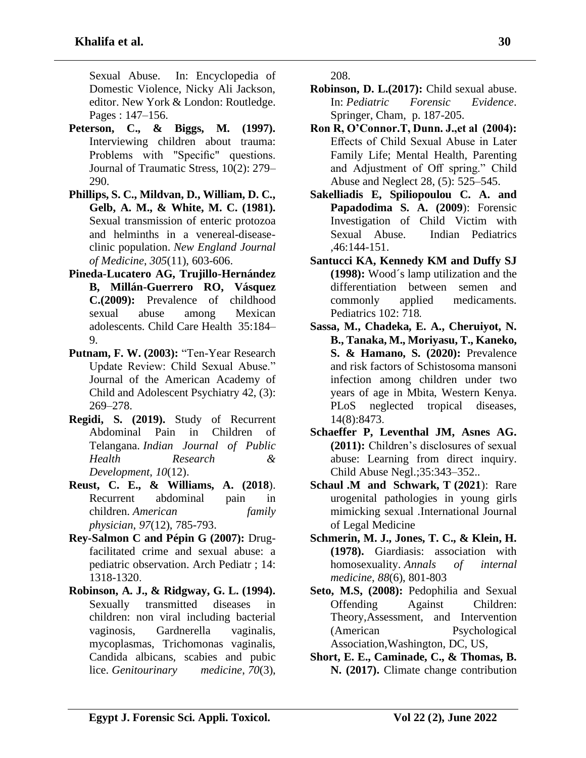Sexual Abuse. In: Encyclopedia of Domestic Violence, Nicky Ali Jackson, editor. New York & London: Routledge. Pages : 147–156.

- **Peterson, C., & Biggs, M. (1997).** Interviewing children about trauma: Problems with "Specific" questions. Journal of Traumatic Stress, 10(2): 279– 290.
- **Phillips, S. C., Mildvan, D., William, D. C., Gelb, A. M., & White, M. C. (1981).** Sexual transmission of enteric protozoa and helminths in a venereal-diseaseclinic population. *New England Journal of Medicine*, *305*(11), 603-606.
- **Pineda-Lucatero AG, Trujillo-Hernández B, Millán-Guerrero RO, Vásquez C.(2009):** Prevalence of childhood sexual abuse among Mexican adolescents. Child Care Health 35:184– 9.
- **Putnam, F. W. (2003):** "Ten-Year Research Update Review: Child Sexual Abuse." Journal of the American Academy of Child and Adolescent Psychiatry 42, (3): 269–278.
- **Regidi, S. (2019).** Study of Recurrent Abdominal Pain in Children of Telangana. *Indian Journal of Public Health Research & Development*, *10*(12).
- **Reust, C. E., & Williams, A. (2018**). Recurrent abdominal pain in children. *American family physician*, *97*(12), 785-793.
- **Rey-Salmon C and Pépin G (2007):** Drugfacilitated crime and sexual abuse: a pediatric observation. Arch Pediatr ; 14: 1318-1320.
- **Robinson, A. J., & Ridgway, G. L. (1994).** Sexually transmitted diseases in children: non viral including bacterial vaginosis, Gardnerella vaginalis, mycoplasmas, Trichomonas vaginalis, Candida albicans, scabies and pubic lice. *Genitourinary medicine*, *70*(3),

208.

- **Robinson, D. L.(2017):** Child sexual abuse. In: *Pediatric Forensic Evidence*. Springer, Cham, p. 187-205.
- **Ron R, O'Connor.T, Dunn. J.,et al (2004):** Effects of Child Sexual Abuse in Later Family Life; Mental Health, Parenting and Adjustment of Off spring." Child Abuse and Neglect 28, (5): 525–545.
- **Sakelliadis E, Spiliopoulou C. A. and Papadodima S. A. (2009**): Forensic Investigation of Child Victim with Sexual Abuse. Indian Pediatrics ,46:144-151.
- **Santucci KA, Kennedy KM and Duffy SJ (1998):** Wood´s lamp utilization and the differentiation between semen and commonly applied medicaments. Pediatrics 102: 718 .
- **Sassa, M., Chadeka, E. A., Cheruiyot, N. B., Tanaka, M., Moriyasu, T., Kaneko, S. & Hamano, S. (2020):** Prevalence and risk factors of Schistosoma mansoni infection among children under two years of age in Mbita, Western Kenya. PLoS neglected tropical diseases, 14(8):8473 .
- **Schaeffer P, Leventhal JM, Asnes AG. (2011):** Children's disclosures of sexual abuse: Learning from direct inquiry. Child Abuse Negl.;35:343–352..
- **Schaul .M and Schwark, T (2021**): Rare urogenital pathologies in young girls mimicking sexual .International Journal of Legal Medicine
- **Schmerin, M. J., Jones, T. C., & Klein, H. (1978).** Giardiasis: association with homosexuality. *Annals of internal medicine*, *88*(6), 801-803
- **Seto, M.S, (2008):** Pedophilia and Sexual Offending Against Children: Theory,Assessment, and Intervention (American Psychological Association,Washington, DC, US,
- **Short, E. E., Caminade, C., & Thomas, B. N. (2017).** Climate change contribution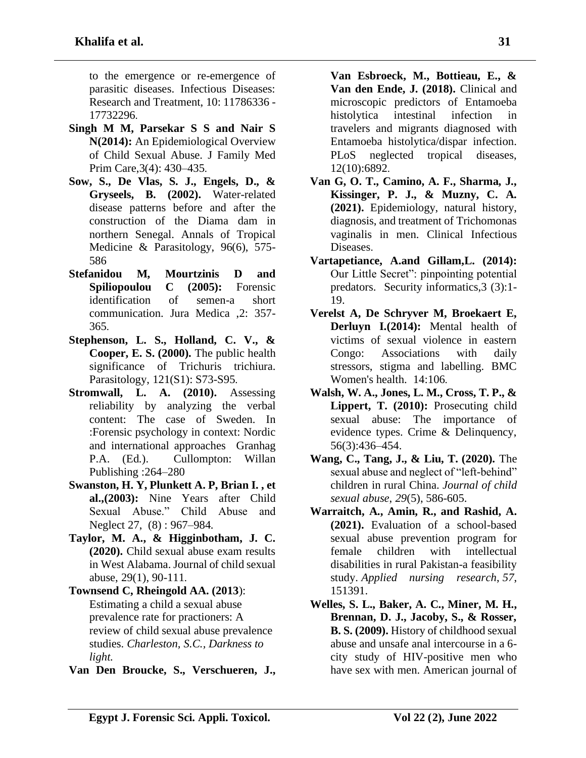to the emergence or re-emergence of parasitic diseases. Infectious Diseases: Research and Treatment, 10: 11786336 - 17732296.

- **Singh M M, Parsekar S S and Nair S N(2014):** An Epidemiological Overview of Child Sexual Abuse. J Family Med Prim Care, 3(4): 430–435.
- **Sow, S., De Vlas, S. J., Engels, D., & Gryseels, B. (2002).** Water-related disease patterns before and after the construction of the Diama dam in northern Senegal. Annals of Tropical Medicine & Parasitology, 96(6), 575- 586
- **Stefanidou M, Mourtzinis D and Spiliopoulou C (2005):** Forensic identification of semen-a short communication. Jura Medica ,2: 357- 365.
- **Stephenson, L. S., Holland, C. V., & Cooper, E. S. (2000).** The public health significance of Trichuris trichiura. Parasitology, 121(S1): S73-S95 .
- **Stromwall, L. A. (2010).** Assessing reliability by analyzing the verbal content: The case of Sweden. In :Forensic psychology in context: Nordic and international approaches Granhag P.A. (Ed.). Cullompton: Willan Publishing :264–280
- **Swanston, H. Y, Plunkett A. P, Brian I. , et al.,(2003):** Nine Years after Child Sexual Abuse." Child Abuse and Neglect 27, (8) : 967–984.
- **Taylor, M. A., & Higginbotham, J. C. (2020).** Child sexual abuse exam results in West Alabama. Journal of child sexual abuse, 29(1), 90-111.
- **Townsend C, Rheingold AA. (2013**): Estimating a child a sexual abuse prevalence rate for practioners: A review of child sexual abuse prevalence studies. *Charleston, S.C., Darkness to light.*
- **Van Den Broucke, S., Verschueren, J.,**

**Van Esbroeck, M., Bottieau, E., & Van den Ende, J. (2018).** Clinical and microscopic predictors of Entamoeba histolytica intestinal infection in travelers and migrants diagnosed with Entamoeba histolytica/dispar infection. PLoS neglected tropical diseases, 12(10):6892.

- **Van G, O. T., Camino, A. F., Sharma, J., Kissinger, P. J., & Muzny, C. A. (2021).** Epidemiology, natural history, diagnosis, and treatment of Trichomonas vaginalis in men. Clinical Infectious Diseases.
- **Vartapetiance, A.and Gillam,L. (2014):** Our Little Secret": pinpointing potential predators. Security informatics,3 (3):1- 19.
- **Verelst A, De Schryver M, Broekaert E, Derluyn I.(2014):** Mental health of victims of sexual violence in eastern Congo: Associations with daily stressors, stigma and labelling. BMC Women's health. 14:106.
- **Walsh, W. A., Jones, L. M., Cross, T. P., & Lippert, T. (2010):** Prosecuting child sexual abuse: The importance of evidence types. Crime & Delinquency, 56(3):436–454.
- **Wang, C., Tang, J., & Liu, T. (2020).** The sexual abuse and neglect of "left-behind" children in rural China. *Journal of child sexual abuse*, *29*(5), 586-605.
- **Warraitch, A., Amin, R., and Rashid, A. (2021).** Evaluation of a school-based sexual abuse prevention program for female children with intellectual disabilities in rural Pakistan-a feasibility study. *Applied nursing research*, *57*, 151391.
- **Welles, S. L., Baker, A. C., Miner, M. H., Brennan, D. J., Jacoby, S., & Rosser, B. S. (2009).** History of childhood sexual abuse and unsafe anal intercourse in a 6 city study of HIV-positive men who have sex with men. American journal of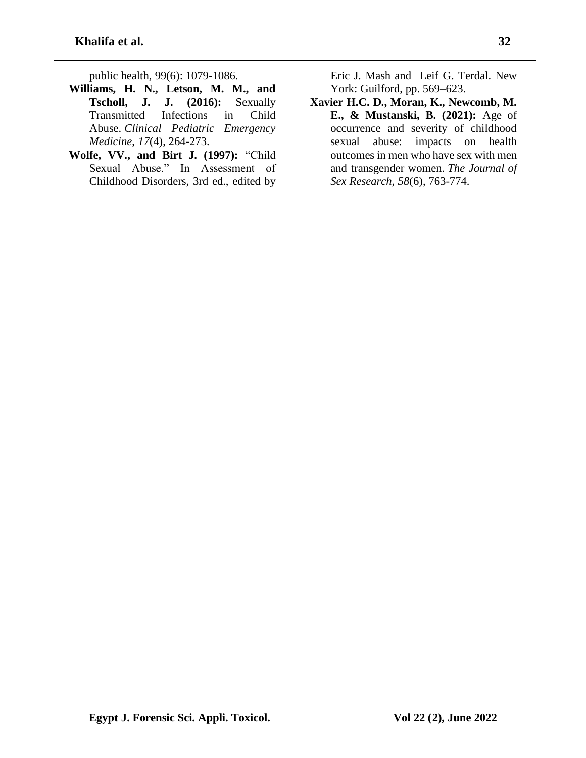public health, 99(6): 1079-1086 .

- **Williams, H. N., Letson, M. M., and Tscholl, J. J. (2016):** Sexually Transmitted Infections in Child Abuse. *Clinical Pediatric Emergency Medicine*, *17*(4), 264-273.
- **Wolfe, VV., and Birt J. (1997):** "Child Sexual Abuse." In Assessment of Childhood Disorders, 3rd ed., edited by

Eric J. Mash and Leif G. Terdal. New York: Guilford, pp. 569–623.

**Xavier H.C. D., Moran, K., Newcomb, M. E., & Mustanski, B. (2021):** Age of occurrence and severity of childhood sexual abuse: impacts on health outcomes in men who have sex with men and transgender women. *The Journal of Sex Research*, *58*(6), 763-774.